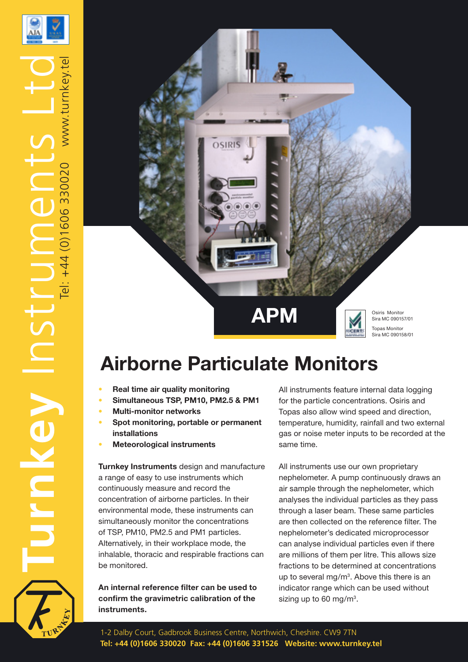

TurnKey Instruments Ltd

NSTC

veylun

Tel: +44 (0)1606 330020



# **Airborne Particulate Monitors**

- **• Real time air quality monitoring**
- **• Simultaneous TSP, PM10, PM2.5 & PM1**
- **• Multi-monitor networks**
- **• Spot monitoring, portable or permanent installations**
- **• Meteorological instruments**

**Turnkey Instruments** design and manufacture a range of easy to use instruments which continuously measure and record the concentration of airborne particles. In their environmental mode, these instruments can simultaneously monitor the concentrations of TSP, PM10, PM2.5 and PM1 particles. Alternatively, in their workplace mode, the inhalable, thoracic and respirable fractions can be monitored.

**An internal reference filter can be used to confirm the gravimetric calibration of the instruments.**

All instruments feature internal data logging for the particle concentrations. Osiris and Topas also allow wind speed and direction, temperature, humidity, rainfall and two external gas or noise meter inputs to be recorded at the same time.

All instruments use our own proprietary nephelometer. A pump continuously draws an air sample through the nephelometer, which analyses the individual particles as they pass through a laser beam. These same particles are then collected on the reference filter. The nephelometer's dedicated microprocessor can analyse individual particles even if there are millions of them per litre. This allows size fractions to be determined at concentrations up to several mg/ $m<sup>3</sup>$ . Above this there is an indicator range which can be used without sizing up to 60 mg/m<sup>3</sup>.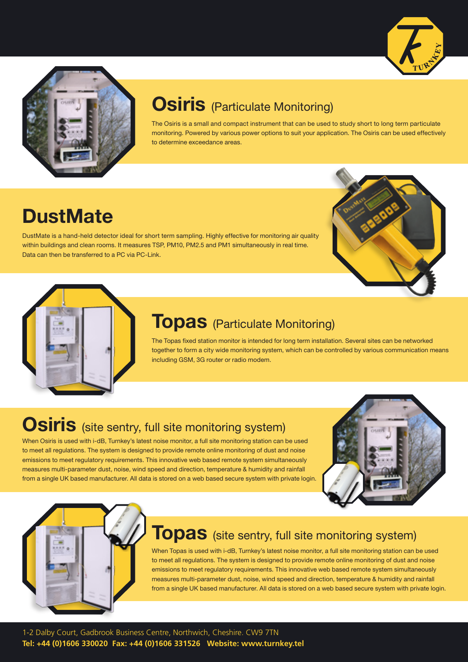



## **Osiris** (Particulate Monitoring)

The Osiris is a small and compact instrument that can be used to study short to long term particulate monitoring. Powered by various power options to suit your application. The Osiris can be used effectively to determine exceedance areas.

# **DustMate**

DustMate is a hand-held detector ideal for short term sampling. Highly effective for monitoring air quality within buildings and clean rooms. It measures TSP, PM10, PM2.5 and PM1 simultaneously in real time. Data can then be transferred to a PC via PC-Link.





### **Topas** (Particulate Monitoring)

The Topas fixed station monitor is intended for long term installation. Several sites can be networked together to form a city wide monitoring system, which can be controlled by various communication means including GSM, 3G router or radio modem.

## **Osiris** (site sentry, full site monitoring system)

When Osiris is used with i-dB, Turnkey's latest noise monitor, a full site monitoring station can be used to meet all regulations. The system is designed to provide remote online monitoring of dust and noise emissions to meet regulatory requirements. This innovative web based remote system simultaneously measures multi-parameter dust, noise, wind speed and direction, temperature & humidity and rainfall from a single UK based manufacturer. All data is stored on a web based secure system with private login.





### **Topas** (site sentry, full site monitoring system)

When Topas is used with i-dB, Turnkey's latest noise monitor, a full site monitoring station can be used to meet all regulations. The system is designed to provide remote online monitoring of dust and noise emissions to meet regulatory requirements. This innovative web based remote system simultaneously measures multi-parameter dust, noise, wind speed and direction, temperature & humidity and rainfall from a single UK based manufacturer. All data is stored on a web based secure system with private login.

1-2 Dalby Court, Gadbrook Business Centre, Northwich, Cheshire. CW9 7TN **Tel: +44 (0)1606 330020 Fax: +44 (0)1606 331526 Website: www.turnkey.tel**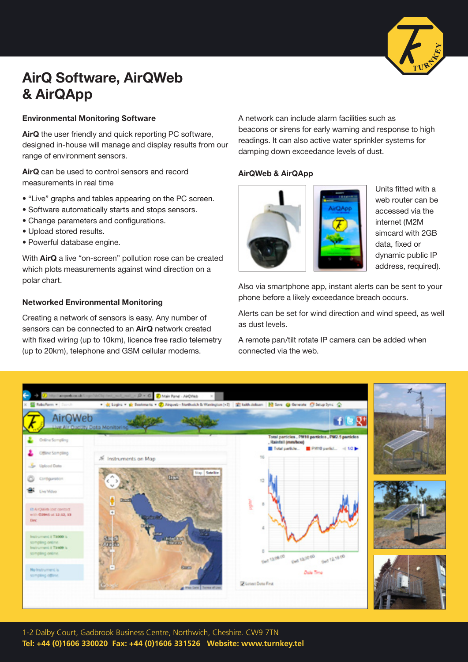

### **AirQ Software, AirQWeb & AirQApp**

#### **Environmental Monitoring Software**

**AirQ** the user friendly and quick reporting PC software, designed in-house will manage and display results from our range of environment sensors.

**AirQ** can be used to control sensors and record measurements in real time

- "Live" graphs and tables appearing on the PC screen.
- Software automatically starts and stops sensors.
- Change parameters and configurations.
- Upload stored results.
- Powerful database engine.

With **AirQ** a live "on-screen" pollution rose can be created which plots measurements against wind direction on a polar chart.

#### **Networked Environmental Monitoring**

Creating a network of sensors is easy. Any number of sensors can be connected to an **AirQ** network created with fixed wiring (up to 10km), licence free radio telemetry (up to 20km), telephone and GSM cellular modems.

A network can include alarm facilities such as beacons or sirens for early warning and response to high readings. It can also active water sprinkler systems for damping down exceedance levels of dust.

#### **AirQWeb & AirQApp**



Units fitted with a web router can be accessed via the internet (M2M simcard with 2GB data, fixed or dynamic public IP address, required).

Also via smartphone app, instant alerts can be sent to your phone before a likely exceedance breach occurs.

Alerts can be set for wind direction and wind speed, as well as dust levels.

A remote pan/tilt rotate IP camera can be added when connected via the web.



1-2 Dalby Court, Gadbrook Business Centre, Northwich, Cheshire. CW9 7TN **Tel: +44 (0)1606 330020 Fax: +44 (0)1606 331526 Website: www.turnkey.tel**